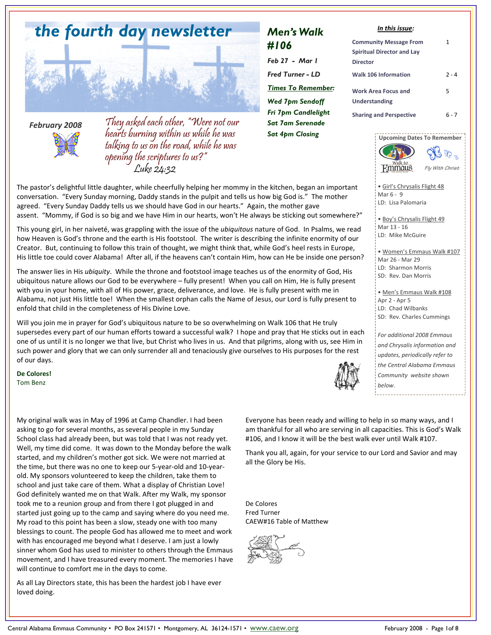

### *February 2008*



They asked each other, "Were not our hearts burning within us while he was talking to us on the road, while he was opening the scriptures to us?" Luke 24:32

## *Men's Walk #106*

*Feb 27 - Mar 1 Fred Turner - LD Times To Remember: Wed 7pm Sendoff Fri 7pm Candlelight Sat 7am Serenade Sat 4pm Closing* 

### *In this issue:*

| <b>Community Message From</b>               | 1       |
|---------------------------------------------|---------|
| <b>Spiritual Director and Lay</b>           |         |
| Director                                    |         |
| <b>Walk 106 Information</b>                 | $2 - 4$ |
| <b>Work Area Focus and</b><br>Understanding | 5       |
| <b>Sharing and Perspective</b>              | հ - 7   |



• Girl's Chrysalis Flight 48 Mar 6 - 9 LD: Lisa Palomaria

> • Boy's Chrysalis Flight 49 Mar 13 - 16 LD: Mike McGuire

• Women's Emmaus Walk #107 Mar 26 - Mar 29 LD: Sharmon Morris SD: Rev. Dan Morris

• Men's Emmaus Walk #108 Apr 2 - Apr 5 LD: Chad Wilbanks SD: Rev. Charles Cummings

*For additional 2008 Emmaus and Chrysalis information and updates, periodically refer to the Central Alabama Emmaus Community website shown below.* 

The pastor's delightful little daughter, while cheerfully helping her mommy in the kitchen, began an important conversation. "Every Sunday morning, Daddy stands in the pulpit and tells us how big God is." The mother agreed. "Every Sunday Daddy tells us we should have God in our hearts." Again, the mother gave assent. "Mommy, if God is so big and we have Him in our hearts, won't He always be sticking out somewhere?"

This young girl, in her naiveté, was grappling with the issue of the *ubiquitous* nature of God. In Psalms, we read how Heaven is God's throne and the earth is His footstool. The writer is describing the infinite enormity of our Creator. But, continuing to follow this train of thought, we might think that, while God's heel rests in Europe, His little toe could cover Alabama! After all, if the heavens can't contain Him, how can He be inside one person?

The answer lies in His *ubiquity*. While the throne and footstool image teaches us of the enormity of God, His ubiquitous nature allows our God to be everywhere – fully present! When you call on Him, He is fully present with you in your home, with all of His power, grace, deliverance, and love. He is fully present with me in Alabama, not just His little toe! When the smallest orphan calls the Name of Jesus, our Lord is fully present to enfold that child in the completeness of His Divine Love.

Will you join me in prayer for God's ubiquitous nature to be so overwhelming on Walk 106 that He truly supersedes every part of our human efforts toward a successful walk? I hope and pray that He sticks out in each one of us until it is no longer we that live, but Christ who lives in us. And that pilgrims, along with us, see Him in such power and glory that we can only surrender all and tenaciously give ourselves to His purposes for the rest of our days.

**De Colores!**  Tom Benz

My original walk was in May of 1996 at Camp Chandler. I had been asking to go for several months, as several people in my Sunday School class had already been, but was told that I was not ready yet. Well, my time did come. It was down to the Monday before the walk started, and my children's mother got sick. We were not married at the time, but there was no one to keep our 5-year-old and 10-yearold. My sponsors volunteered to keep the children, take them to school and just take care of them. What a display of Christian Love! God definitely wanted me on that Walk. After my Walk, my sponsor took me to a reunion group and from there I got plugged in and started just going up to the camp and saying where do you need me. My road to this point has been a slow, steady one with too many blessings to count. The people God has allowed me to meet and work with has encouraged me beyond what I deserve. I am just a lowly sinner whom God has used to minister to others through the Emmaus movement, and I have treasured every moment. The memories I have will continue to comfort me in the days to come.

As all Lay Directors state, this has been the hardest job I have ever loved doing.

Everyone has been ready and willing to help in so many ways, and I am thankful for all who are serving in all capacities. This is God's Walk #106, and I know it will be the best walk ever until Walk #107.

Thank you all, again, for your service to our Lord and Savior and may all the Glory be His.

De Colores Fred Turner CAEW#16 Table of Matthew

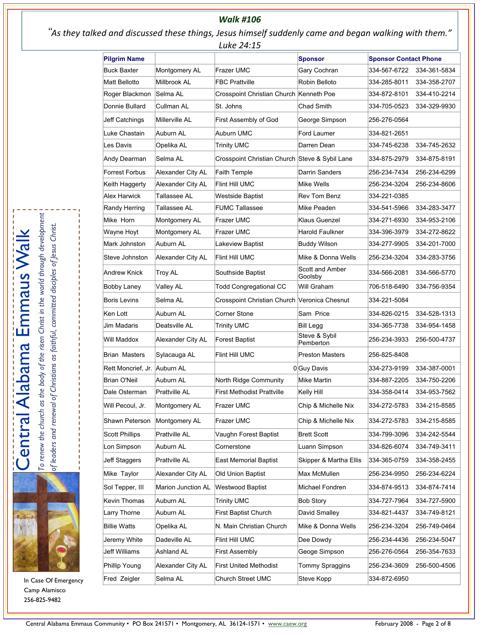### *Walk #106*

 "*As they talked and discussed these things, Jesus himself suddenly came and began walking with them." Luke 24:15*

| <b>Sponsor</b><br><b>Sponsor Contact Phone</b><br>Frazer UMC<br><b>Buck Baxter</b><br>Montgomery AL<br>Gary Cochran<br>334-567-6722<br>Millbrook AL<br><b>FBC Prattville</b><br>Robin Belloto<br>Matt Bellotto<br>334-285-8011<br>Selma AL<br>Crosspoint Christian Church Kenneth Poe<br>334-872-8101<br>Donnie Bullard<br>Cullman AL<br>St. Johns<br>Chad Smith<br>334-705-0523<br>Millerville AL<br>First Assembly of God<br>Jeff Catchings<br>George Simpson<br>256-276-0564<br>Auburn AL<br>Auburn UMC<br>Luke Chastain<br>Ford Laumer<br>334-821-2651<br>Les Davis<br>Opelika AL<br>Trinity UMC<br>Darren Dean<br>334-745-6238<br>Crosspoint Christian Church Steve & Sybil Lane<br>Selma AL<br>Andy Dearman<br>334-875-2979<br><b>Forrest Forbus</b><br>Alexander City AL<br><b>Faith Temple</b><br>Darrin Sanders<br>256-234-7434<br>Alexander City AL<br><b>Flint Hill UMC</b><br>Mike Wells<br>256-234-3204<br>Alex Harwick<br>Tallassee AL<br>Rev Tom Benz<br>334-221-0385<br>Westside Baptist<br>Tallassee AL<br><b>FUMC Tallassee</b><br>Mike Peaden<br>334-541-5966<br>Klaus Guenzel<br>Mike Horn<br>Montgomery AL<br>Frazer UMC<br>334-271-6930<br>Harold Faulkner<br>Wayne Hoyt<br>Montgomery AL<br>Frazer UMC<br>334-396-3979<br>Auburn AL<br>Mark Johnston<br>Lakeview Baptist<br><b>Buddy Wilson</b><br>334-277-9905<br>Steve Johnston<br>Alexander City AL<br>Flint Hill UMC<br>Mike & Donna Wells<br>256-234-3204<br>Scott and Amber<br><b>Troy AL</b><br>334-566-2081<br>Southside Baptist<br>Goolsby<br><b>Todd Congregational CC</b><br>Will Graham<br>706-518-6490<br><b>Valley AL</b><br><b>Boris Levins</b><br>Selma AL<br>Crosspoint Christian Church Veronica Chesnut<br>334-221-5084<br><b>Corner Stone</b><br>Sam Price<br>Ken Lott<br>Auburn AL<br>334-826-0215<br>Deatsville AL<br>Jim Madaris<br><b>Trinity UMC</b><br><b>Bill Legg</b><br>334-365-7738<br>Steve & Sybil<br><b>Forest Baptist</b><br>Will Maddox<br>Alexander City AL<br>256-234-3933<br>Pemberton<br><b>Brian Masters</b><br>Sylacauga AL<br>Flint Hill UMC<br><b>Preston Masters</b><br>256-825-8408<br>Rett Moncrief. Jr. Auburn AL<br>0 Guy Davis<br>334-273-9199<br><b>Brian O'Neil</b><br>Auburn AL<br>North Ridge Community<br>Mike Martin<br>334-887-2205<br>Prattville AL<br><b>First Methodist Prattville</b><br>Dale Osterman<br>Kelly Hill<br>334-358-0414<br>334-272-5783<br>Will Pecoul, Jr.<br>Montgomery AL<br>Frazer UMC<br>Chip & Michelle Nix<br>Shawn Peterson<br>Montgomery AL<br>Frazer UMC<br>Chip & Michelle Nix<br>334-272-5783<br>Prattville AL<br>Vaughn Forest Baptist<br><b>Brett Scott</b><br>334-799-3096<br>Lon Simpson<br>Auburn AL<br>Luann Simpson<br>334-826-6074<br>Cornerstone<br>Prattville AL<br>Skipper & Martha Ellis<br>Jeff Staggers<br><b>East Memorial Baptist</b><br>334-365-0759<br>Alexander City AL<br>Old Union Baptist<br>Max McMullen<br>256-234-9950<br>Marion Junction AL<br><b>Westwood Baptist</b><br>Michael Fondren<br>334-874-9513<br>Kevin Thomas<br>Auburn AL<br><b>Trinity UMC</b><br><b>Bob Story</b><br>334-727-7964<br>Auburn AL<br><b>First Baptist Church</b><br>David Smalley<br>Larry Thorne<br>334-821-4437<br>Opelika AL<br>N. Main Christian Church<br>Mike & Donna Wells<br>256-234-3204<br>Flint Hill UMC<br>Dee Dowdy<br>Jeremy White<br>Dadeville AL<br>256-234-4436<br>Jeff Williams<br>Ashland AL<br><b>First Assembly</b><br>Geoge Simpson<br>256-276-0564<br><b>First United Methodist</b><br>Tommy Spraggins<br>Alexander City AL<br>256-234-3609<br>Selma AL<br>Steve Kopp<br><b>Church Street UMC</b><br>334-872-6950 |                       | レロハし ムー・エン |  |              |
|------------------------------------------------------------------------------------------------------------------------------------------------------------------------------------------------------------------------------------------------------------------------------------------------------------------------------------------------------------------------------------------------------------------------------------------------------------------------------------------------------------------------------------------------------------------------------------------------------------------------------------------------------------------------------------------------------------------------------------------------------------------------------------------------------------------------------------------------------------------------------------------------------------------------------------------------------------------------------------------------------------------------------------------------------------------------------------------------------------------------------------------------------------------------------------------------------------------------------------------------------------------------------------------------------------------------------------------------------------------------------------------------------------------------------------------------------------------------------------------------------------------------------------------------------------------------------------------------------------------------------------------------------------------------------------------------------------------------------------------------------------------------------------------------------------------------------------------------------------------------------------------------------------------------------------------------------------------------------------------------------------------------------------------------------------------------------------------------------------------------------------------------------------------------------------------------------------------------------------------------------------------------------------------------------------------------------------------------------------------------------------------------------------------------------------------------------------------------------------------------------------------------------------------------------------------------------------------------------------------------------------------------------------------------------------------------------------------------------------------------------------------------------------------------------------------------------------------------------------------------------------------------------------------------------------------------------------------------------------------------------------------------------------------------------------------------------------------------------------------------------------------------------------------------------------------------------------------------------------------------------------------------------------------------------------------------------------------------------------------------------------------------------------------------------------------------------------------------------------------------------------------------------------------------------------------------------------------------------------|-----------------------|------------|--|--------------|
|                                                                                                                                                                                                                                                                                                                                                                                                                                                                                                                                                                                                                                                                                                                                                                                                                                                                                                                                                                                                                                                                                                                                                                                                                                                                                                                                                                                                                                                                                                                                                                                                                                                                                                                                                                                                                                                                                                                                                                                                                                                                                                                                                                                                                                                                                                                                                                                                                                                                                                                                                                                                                                                                                                                                                                                                                                                                                                                                                                                                                                                                                                                                                                                                                                                                                                                                                                                                                                                                                                                                                                                                            | <b>Pilgrim Name</b>   |            |  |              |
|                                                                                                                                                                                                                                                                                                                                                                                                                                                                                                                                                                                                                                                                                                                                                                                                                                                                                                                                                                                                                                                                                                                                                                                                                                                                                                                                                                                                                                                                                                                                                                                                                                                                                                                                                                                                                                                                                                                                                                                                                                                                                                                                                                                                                                                                                                                                                                                                                                                                                                                                                                                                                                                                                                                                                                                                                                                                                                                                                                                                                                                                                                                                                                                                                                                                                                                                                                                                                                                                                                                                                                                                            |                       |            |  | 334-361-5834 |
|                                                                                                                                                                                                                                                                                                                                                                                                                                                                                                                                                                                                                                                                                                                                                                                                                                                                                                                                                                                                                                                                                                                                                                                                                                                                                                                                                                                                                                                                                                                                                                                                                                                                                                                                                                                                                                                                                                                                                                                                                                                                                                                                                                                                                                                                                                                                                                                                                                                                                                                                                                                                                                                                                                                                                                                                                                                                                                                                                                                                                                                                                                                                                                                                                                                                                                                                                                                                                                                                                                                                                                                                            |                       |            |  | 334-358-2707 |
|                                                                                                                                                                                                                                                                                                                                                                                                                                                                                                                                                                                                                                                                                                                                                                                                                                                                                                                                                                                                                                                                                                                                                                                                                                                                                                                                                                                                                                                                                                                                                                                                                                                                                                                                                                                                                                                                                                                                                                                                                                                                                                                                                                                                                                                                                                                                                                                                                                                                                                                                                                                                                                                                                                                                                                                                                                                                                                                                                                                                                                                                                                                                                                                                                                                                                                                                                                                                                                                                                                                                                                                                            | Roger Blackmon        |            |  | 334-410-2214 |
|                                                                                                                                                                                                                                                                                                                                                                                                                                                                                                                                                                                                                                                                                                                                                                                                                                                                                                                                                                                                                                                                                                                                                                                                                                                                                                                                                                                                                                                                                                                                                                                                                                                                                                                                                                                                                                                                                                                                                                                                                                                                                                                                                                                                                                                                                                                                                                                                                                                                                                                                                                                                                                                                                                                                                                                                                                                                                                                                                                                                                                                                                                                                                                                                                                                                                                                                                                                                                                                                                                                                                                                                            |                       |            |  | 334-329-9930 |
|                                                                                                                                                                                                                                                                                                                                                                                                                                                                                                                                                                                                                                                                                                                                                                                                                                                                                                                                                                                                                                                                                                                                                                                                                                                                                                                                                                                                                                                                                                                                                                                                                                                                                                                                                                                                                                                                                                                                                                                                                                                                                                                                                                                                                                                                                                                                                                                                                                                                                                                                                                                                                                                                                                                                                                                                                                                                                                                                                                                                                                                                                                                                                                                                                                                                                                                                                                                                                                                                                                                                                                                                            |                       |            |  |              |
|                                                                                                                                                                                                                                                                                                                                                                                                                                                                                                                                                                                                                                                                                                                                                                                                                                                                                                                                                                                                                                                                                                                                                                                                                                                                                                                                                                                                                                                                                                                                                                                                                                                                                                                                                                                                                                                                                                                                                                                                                                                                                                                                                                                                                                                                                                                                                                                                                                                                                                                                                                                                                                                                                                                                                                                                                                                                                                                                                                                                                                                                                                                                                                                                                                                                                                                                                                                                                                                                                                                                                                                                            |                       |            |  |              |
|                                                                                                                                                                                                                                                                                                                                                                                                                                                                                                                                                                                                                                                                                                                                                                                                                                                                                                                                                                                                                                                                                                                                                                                                                                                                                                                                                                                                                                                                                                                                                                                                                                                                                                                                                                                                                                                                                                                                                                                                                                                                                                                                                                                                                                                                                                                                                                                                                                                                                                                                                                                                                                                                                                                                                                                                                                                                                                                                                                                                                                                                                                                                                                                                                                                                                                                                                                                                                                                                                                                                                                                                            |                       |            |  | 334-745-2632 |
|                                                                                                                                                                                                                                                                                                                                                                                                                                                                                                                                                                                                                                                                                                                                                                                                                                                                                                                                                                                                                                                                                                                                                                                                                                                                                                                                                                                                                                                                                                                                                                                                                                                                                                                                                                                                                                                                                                                                                                                                                                                                                                                                                                                                                                                                                                                                                                                                                                                                                                                                                                                                                                                                                                                                                                                                                                                                                                                                                                                                                                                                                                                                                                                                                                                                                                                                                                                                                                                                                                                                                                                                            |                       |            |  | 334-875-8191 |
|                                                                                                                                                                                                                                                                                                                                                                                                                                                                                                                                                                                                                                                                                                                                                                                                                                                                                                                                                                                                                                                                                                                                                                                                                                                                                                                                                                                                                                                                                                                                                                                                                                                                                                                                                                                                                                                                                                                                                                                                                                                                                                                                                                                                                                                                                                                                                                                                                                                                                                                                                                                                                                                                                                                                                                                                                                                                                                                                                                                                                                                                                                                                                                                                                                                                                                                                                                                                                                                                                                                                                                                                            |                       |            |  | 256-234-6299 |
|                                                                                                                                                                                                                                                                                                                                                                                                                                                                                                                                                                                                                                                                                                                                                                                                                                                                                                                                                                                                                                                                                                                                                                                                                                                                                                                                                                                                                                                                                                                                                                                                                                                                                                                                                                                                                                                                                                                                                                                                                                                                                                                                                                                                                                                                                                                                                                                                                                                                                                                                                                                                                                                                                                                                                                                                                                                                                                                                                                                                                                                                                                                                                                                                                                                                                                                                                                                                                                                                                                                                                                                                            | Keith Haggerty        |            |  | 256-234-8606 |
|                                                                                                                                                                                                                                                                                                                                                                                                                                                                                                                                                                                                                                                                                                                                                                                                                                                                                                                                                                                                                                                                                                                                                                                                                                                                                                                                                                                                                                                                                                                                                                                                                                                                                                                                                                                                                                                                                                                                                                                                                                                                                                                                                                                                                                                                                                                                                                                                                                                                                                                                                                                                                                                                                                                                                                                                                                                                                                                                                                                                                                                                                                                                                                                                                                                                                                                                                                                                                                                                                                                                                                                                            |                       |            |  |              |
|                                                                                                                                                                                                                                                                                                                                                                                                                                                                                                                                                                                                                                                                                                                                                                                                                                                                                                                                                                                                                                                                                                                                                                                                                                                                                                                                                                                                                                                                                                                                                                                                                                                                                                                                                                                                                                                                                                                                                                                                                                                                                                                                                                                                                                                                                                                                                                                                                                                                                                                                                                                                                                                                                                                                                                                                                                                                                                                                                                                                                                                                                                                                                                                                                                                                                                                                                                                                                                                                                                                                                                                                            | Randy Herring         |            |  | 334-283-3477 |
|                                                                                                                                                                                                                                                                                                                                                                                                                                                                                                                                                                                                                                                                                                                                                                                                                                                                                                                                                                                                                                                                                                                                                                                                                                                                                                                                                                                                                                                                                                                                                                                                                                                                                                                                                                                                                                                                                                                                                                                                                                                                                                                                                                                                                                                                                                                                                                                                                                                                                                                                                                                                                                                                                                                                                                                                                                                                                                                                                                                                                                                                                                                                                                                                                                                                                                                                                                                                                                                                                                                                                                                                            |                       |            |  | 334-953-2106 |
|                                                                                                                                                                                                                                                                                                                                                                                                                                                                                                                                                                                                                                                                                                                                                                                                                                                                                                                                                                                                                                                                                                                                                                                                                                                                                                                                                                                                                                                                                                                                                                                                                                                                                                                                                                                                                                                                                                                                                                                                                                                                                                                                                                                                                                                                                                                                                                                                                                                                                                                                                                                                                                                                                                                                                                                                                                                                                                                                                                                                                                                                                                                                                                                                                                                                                                                                                                                                                                                                                                                                                                                                            |                       |            |  | 334-272-8622 |
|                                                                                                                                                                                                                                                                                                                                                                                                                                                                                                                                                                                                                                                                                                                                                                                                                                                                                                                                                                                                                                                                                                                                                                                                                                                                                                                                                                                                                                                                                                                                                                                                                                                                                                                                                                                                                                                                                                                                                                                                                                                                                                                                                                                                                                                                                                                                                                                                                                                                                                                                                                                                                                                                                                                                                                                                                                                                                                                                                                                                                                                                                                                                                                                                                                                                                                                                                                                                                                                                                                                                                                                                            |                       |            |  | 334-201-7000 |
|                                                                                                                                                                                                                                                                                                                                                                                                                                                                                                                                                                                                                                                                                                                                                                                                                                                                                                                                                                                                                                                                                                                                                                                                                                                                                                                                                                                                                                                                                                                                                                                                                                                                                                                                                                                                                                                                                                                                                                                                                                                                                                                                                                                                                                                                                                                                                                                                                                                                                                                                                                                                                                                                                                                                                                                                                                                                                                                                                                                                                                                                                                                                                                                                                                                                                                                                                                                                                                                                                                                                                                                                            |                       |            |  | 334-283-3756 |
|                                                                                                                                                                                                                                                                                                                                                                                                                                                                                                                                                                                                                                                                                                                                                                                                                                                                                                                                                                                                                                                                                                                                                                                                                                                                                                                                                                                                                                                                                                                                                                                                                                                                                                                                                                                                                                                                                                                                                                                                                                                                                                                                                                                                                                                                                                                                                                                                                                                                                                                                                                                                                                                                                                                                                                                                                                                                                                                                                                                                                                                                                                                                                                                                                                                                                                                                                                                                                                                                                                                                                                                                            | <b>Andrew Knick</b>   |            |  | 334-566-5770 |
|                                                                                                                                                                                                                                                                                                                                                                                                                                                                                                                                                                                                                                                                                                                                                                                                                                                                                                                                                                                                                                                                                                                                                                                                                                                                                                                                                                                                                                                                                                                                                                                                                                                                                                                                                                                                                                                                                                                                                                                                                                                                                                                                                                                                                                                                                                                                                                                                                                                                                                                                                                                                                                                                                                                                                                                                                                                                                                                                                                                                                                                                                                                                                                                                                                                                                                                                                                                                                                                                                                                                                                                                            | <b>Bobby Laney</b>    |            |  | 334-756-9354 |
|                                                                                                                                                                                                                                                                                                                                                                                                                                                                                                                                                                                                                                                                                                                                                                                                                                                                                                                                                                                                                                                                                                                                                                                                                                                                                                                                                                                                                                                                                                                                                                                                                                                                                                                                                                                                                                                                                                                                                                                                                                                                                                                                                                                                                                                                                                                                                                                                                                                                                                                                                                                                                                                                                                                                                                                                                                                                                                                                                                                                                                                                                                                                                                                                                                                                                                                                                                                                                                                                                                                                                                                                            |                       |            |  |              |
|                                                                                                                                                                                                                                                                                                                                                                                                                                                                                                                                                                                                                                                                                                                                                                                                                                                                                                                                                                                                                                                                                                                                                                                                                                                                                                                                                                                                                                                                                                                                                                                                                                                                                                                                                                                                                                                                                                                                                                                                                                                                                                                                                                                                                                                                                                                                                                                                                                                                                                                                                                                                                                                                                                                                                                                                                                                                                                                                                                                                                                                                                                                                                                                                                                                                                                                                                                                                                                                                                                                                                                                                            |                       |            |  | 334-528-1313 |
|                                                                                                                                                                                                                                                                                                                                                                                                                                                                                                                                                                                                                                                                                                                                                                                                                                                                                                                                                                                                                                                                                                                                                                                                                                                                                                                                                                                                                                                                                                                                                                                                                                                                                                                                                                                                                                                                                                                                                                                                                                                                                                                                                                                                                                                                                                                                                                                                                                                                                                                                                                                                                                                                                                                                                                                                                                                                                                                                                                                                                                                                                                                                                                                                                                                                                                                                                                                                                                                                                                                                                                                                            |                       |            |  | 334-954-1458 |
|                                                                                                                                                                                                                                                                                                                                                                                                                                                                                                                                                                                                                                                                                                                                                                                                                                                                                                                                                                                                                                                                                                                                                                                                                                                                                                                                                                                                                                                                                                                                                                                                                                                                                                                                                                                                                                                                                                                                                                                                                                                                                                                                                                                                                                                                                                                                                                                                                                                                                                                                                                                                                                                                                                                                                                                                                                                                                                                                                                                                                                                                                                                                                                                                                                                                                                                                                                                                                                                                                                                                                                                                            |                       |            |  | 256-500-4737 |
|                                                                                                                                                                                                                                                                                                                                                                                                                                                                                                                                                                                                                                                                                                                                                                                                                                                                                                                                                                                                                                                                                                                                                                                                                                                                                                                                                                                                                                                                                                                                                                                                                                                                                                                                                                                                                                                                                                                                                                                                                                                                                                                                                                                                                                                                                                                                                                                                                                                                                                                                                                                                                                                                                                                                                                                                                                                                                                                                                                                                                                                                                                                                                                                                                                                                                                                                                                                                                                                                                                                                                                                                            |                       |            |  |              |
|                                                                                                                                                                                                                                                                                                                                                                                                                                                                                                                                                                                                                                                                                                                                                                                                                                                                                                                                                                                                                                                                                                                                                                                                                                                                                                                                                                                                                                                                                                                                                                                                                                                                                                                                                                                                                                                                                                                                                                                                                                                                                                                                                                                                                                                                                                                                                                                                                                                                                                                                                                                                                                                                                                                                                                                                                                                                                                                                                                                                                                                                                                                                                                                                                                                                                                                                                                                                                                                                                                                                                                                                            |                       |            |  | 334-387-0001 |
|                                                                                                                                                                                                                                                                                                                                                                                                                                                                                                                                                                                                                                                                                                                                                                                                                                                                                                                                                                                                                                                                                                                                                                                                                                                                                                                                                                                                                                                                                                                                                                                                                                                                                                                                                                                                                                                                                                                                                                                                                                                                                                                                                                                                                                                                                                                                                                                                                                                                                                                                                                                                                                                                                                                                                                                                                                                                                                                                                                                                                                                                                                                                                                                                                                                                                                                                                                                                                                                                                                                                                                                                            |                       |            |  | 334-750-2206 |
|                                                                                                                                                                                                                                                                                                                                                                                                                                                                                                                                                                                                                                                                                                                                                                                                                                                                                                                                                                                                                                                                                                                                                                                                                                                                                                                                                                                                                                                                                                                                                                                                                                                                                                                                                                                                                                                                                                                                                                                                                                                                                                                                                                                                                                                                                                                                                                                                                                                                                                                                                                                                                                                                                                                                                                                                                                                                                                                                                                                                                                                                                                                                                                                                                                                                                                                                                                                                                                                                                                                                                                                                            |                       |            |  | 334-953-7562 |
|                                                                                                                                                                                                                                                                                                                                                                                                                                                                                                                                                                                                                                                                                                                                                                                                                                                                                                                                                                                                                                                                                                                                                                                                                                                                                                                                                                                                                                                                                                                                                                                                                                                                                                                                                                                                                                                                                                                                                                                                                                                                                                                                                                                                                                                                                                                                                                                                                                                                                                                                                                                                                                                                                                                                                                                                                                                                                                                                                                                                                                                                                                                                                                                                                                                                                                                                                                                                                                                                                                                                                                                                            |                       |            |  | 334-215-8585 |
|                                                                                                                                                                                                                                                                                                                                                                                                                                                                                                                                                                                                                                                                                                                                                                                                                                                                                                                                                                                                                                                                                                                                                                                                                                                                                                                                                                                                                                                                                                                                                                                                                                                                                                                                                                                                                                                                                                                                                                                                                                                                                                                                                                                                                                                                                                                                                                                                                                                                                                                                                                                                                                                                                                                                                                                                                                                                                                                                                                                                                                                                                                                                                                                                                                                                                                                                                                                                                                                                                                                                                                                                            |                       |            |  | 334-215-8585 |
|                                                                                                                                                                                                                                                                                                                                                                                                                                                                                                                                                                                                                                                                                                                                                                                                                                                                                                                                                                                                                                                                                                                                                                                                                                                                                                                                                                                                                                                                                                                                                                                                                                                                                                                                                                                                                                                                                                                                                                                                                                                                                                                                                                                                                                                                                                                                                                                                                                                                                                                                                                                                                                                                                                                                                                                                                                                                                                                                                                                                                                                                                                                                                                                                                                                                                                                                                                                                                                                                                                                                                                                                            | <b>Scott Phillips</b> |            |  | 334-242-5544 |
|                                                                                                                                                                                                                                                                                                                                                                                                                                                                                                                                                                                                                                                                                                                                                                                                                                                                                                                                                                                                                                                                                                                                                                                                                                                                                                                                                                                                                                                                                                                                                                                                                                                                                                                                                                                                                                                                                                                                                                                                                                                                                                                                                                                                                                                                                                                                                                                                                                                                                                                                                                                                                                                                                                                                                                                                                                                                                                                                                                                                                                                                                                                                                                                                                                                                                                                                                                                                                                                                                                                                                                                                            |                       |            |  | 334-749-3411 |
|                                                                                                                                                                                                                                                                                                                                                                                                                                                                                                                                                                                                                                                                                                                                                                                                                                                                                                                                                                                                                                                                                                                                                                                                                                                                                                                                                                                                                                                                                                                                                                                                                                                                                                                                                                                                                                                                                                                                                                                                                                                                                                                                                                                                                                                                                                                                                                                                                                                                                                                                                                                                                                                                                                                                                                                                                                                                                                                                                                                                                                                                                                                                                                                                                                                                                                                                                                                                                                                                                                                                                                                                            |                       |            |  | 334-358-2455 |
|                                                                                                                                                                                                                                                                                                                                                                                                                                                                                                                                                                                                                                                                                                                                                                                                                                                                                                                                                                                                                                                                                                                                                                                                                                                                                                                                                                                                                                                                                                                                                                                                                                                                                                                                                                                                                                                                                                                                                                                                                                                                                                                                                                                                                                                                                                                                                                                                                                                                                                                                                                                                                                                                                                                                                                                                                                                                                                                                                                                                                                                                                                                                                                                                                                                                                                                                                                                                                                                                                                                                                                                                            | Mike Taylor           |            |  | 256-234-6224 |
|                                                                                                                                                                                                                                                                                                                                                                                                                                                                                                                                                                                                                                                                                                                                                                                                                                                                                                                                                                                                                                                                                                                                                                                                                                                                                                                                                                                                                                                                                                                                                                                                                                                                                                                                                                                                                                                                                                                                                                                                                                                                                                                                                                                                                                                                                                                                                                                                                                                                                                                                                                                                                                                                                                                                                                                                                                                                                                                                                                                                                                                                                                                                                                                                                                                                                                                                                                                                                                                                                                                                                                                                            | Sol Tepper, III       |            |  | 334-874-7414 |
|                                                                                                                                                                                                                                                                                                                                                                                                                                                                                                                                                                                                                                                                                                                                                                                                                                                                                                                                                                                                                                                                                                                                                                                                                                                                                                                                                                                                                                                                                                                                                                                                                                                                                                                                                                                                                                                                                                                                                                                                                                                                                                                                                                                                                                                                                                                                                                                                                                                                                                                                                                                                                                                                                                                                                                                                                                                                                                                                                                                                                                                                                                                                                                                                                                                                                                                                                                                                                                                                                                                                                                                                            |                       |            |  | 334-727-5900 |
|                                                                                                                                                                                                                                                                                                                                                                                                                                                                                                                                                                                                                                                                                                                                                                                                                                                                                                                                                                                                                                                                                                                                                                                                                                                                                                                                                                                                                                                                                                                                                                                                                                                                                                                                                                                                                                                                                                                                                                                                                                                                                                                                                                                                                                                                                                                                                                                                                                                                                                                                                                                                                                                                                                                                                                                                                                                                                                                                                                                                                                                                                                                                                                                                                                                                                                                                                                                                                                                                                                                                                                                                            |                       |            |  | 334-749-8121 |
|                                                                                                                                                                                                                                                                                                                                                                                                                                                                                                                                                                                                                                                                                                                                                                                                                                                                                                                                                                                                                                                                                                                                                                                                                                                                                                                                                                                                                                                                                                                                                                                                                                                                                                                                                                                                                                                                                                                                                                                                                                                                                                                                                                                                                                                                                                                                                                                                                                                                                                                                                                                                                                                                                                                                                                                                                                                                                                                                                                                                                                                                                                                                                                                                                                                                                                                                                                                                                                                                                                                                                                                                            | <b>Billie Watts</b>   |            |  | 256-749-0464 |
|                                                                                                                                                                                                                                                                                                                                                                                                                                                                                                                                                                                                                                                                                                                                                                                                                                                                                                                                                                                                                                                                                                                                                                                                                                                                                                                                                                                                                                                                                                                                                                                                                                                                                                                                                                                                                                                                                                                                                                                                                                                                                                                                                                                                                                                                                                                                                                                                                                                                                                                                                                                                                                                                                                                                                                                                                                                                                                                                                                                                                                                                                                                                                                                                                                                                                                                                                                                                                                                                                                                                                                                                            |                       |            |  | 256-234-5047 |
|                                                                                                                                                                                                                                                                                                                                                                                                                                                                                                                                                                                                                                                                                                                                                                                                                                                                                                                                                                                                                                                                                                                                                                                                                                                                                                                                                                                                                                                                                                                                                                                                                                                                                                                                                                                                                                                                                                                                                                                                                                                                                                                                                                                                                                                                                                                                                                                                                                                                                                                                                                                                                                                                                                                                                                                                                                                                                                                                                                                                                                                                                                                                                                                                                                                                                                                                                                                                                                                                                                                                                                                                            |                       |            |  | 256-354-7633 |
|                                                                                                                                                                                                                                                                                                                                                                                                                                                                                                                                                                                                                                                                                                                                                                                                                                                                                                                                                                                                                                                                                                                                                                                                                                                                                                                                                                                                                                                                                                                                                                                                                                                                                                                                                                                                                                                                                                                                                                                                                                                                                                                                                                                                                                                                                                                                                                                                                                                                                                                                                                                                                                                                                                                                                                                                                                                                                                                                                                                                                                                                                                                                                                                                                                                                                                                                                                                                                                                                                                                                                                                                            | Phillip Young         |            |  | 256-500-4506 |
|                                                                                                                                                                                                                                                                                                                                                                                                                                                                                                                                                                                                                                                                                                                                                                                                                                                                                                                                                                                                                                                                                                                                                                                                                                                                                                                                                                                                                                                                                                                                                                                                                                                                                                                                                                                                                                                                                                                                                                                                                                                                                                                                                                                                                                                                                                                                                                                                                                                                                                                                                                                                                                                                                                                                                                                                                                                                                                                                                                                                                                                                                                                                                                                                                                                                                                                                                                                                                                                                                                                                                                                                            | Fred Zeigler          |            |  |              |

To renew the church as the body of the risen Christ in the world through development To renew the church as the body of the risen Christ in the world through development *of leaders and renewal of Christians as faithful, committed disciples of Jesus Christ.*  of leaders and renewal of Christians as faithful, committed disciples of Jesus Christ. Central Alabama Emmaus Walk **Central Alabama Emmaus Walk** 



In Case Of Emergency Camp Alamisco 256-825-9482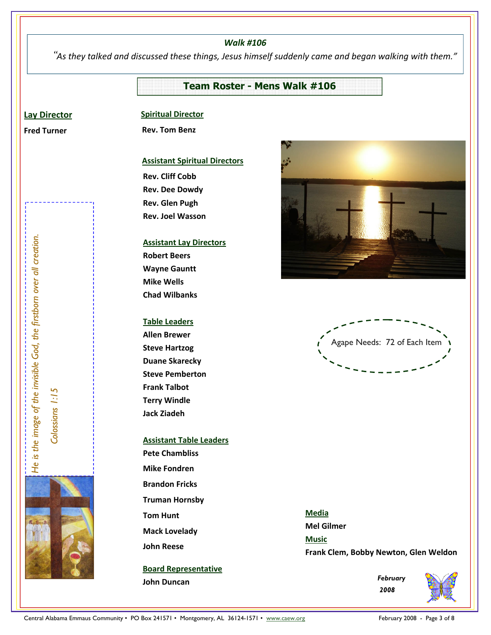### *Walk #106*

"*As they talked and discussed these things, Jesus himself suddenly came and began walking with them."* 

## **Team Roster - Mens Walk #106**

### **Lay Director**

**Fred Turner**

### **Spiritual Director**

 **Rev. Tom Benz** 

### **Assistant Spiritual Directors**

**Rev. Cliff Cobb Rev. Dee Dowdy Rev. Glen Pugh Rev. Joel Wasson** 

### **Assistant Lay Directors**

**Robert Beers Wayne Gauntt Mike Wells Chad Wilbanks** 

### **Table Leaders**

**Allen Brewer Steve Hartzog Duane Skarecky Steve Pemberton Frank Talbot Terry Windle Jack Ziadeh** 

# **Assistant Table Leaders Pete Chambliss Mike Fondren Brandon Fricks Truman Hornsby Tom Hunt Mack Lovelady John Reese**

**Board Representative John Duncan** 





**Media Mel Gilmer Music Frank Clem, Bobby Newton, Glen Weldon** 

> *February 2008*



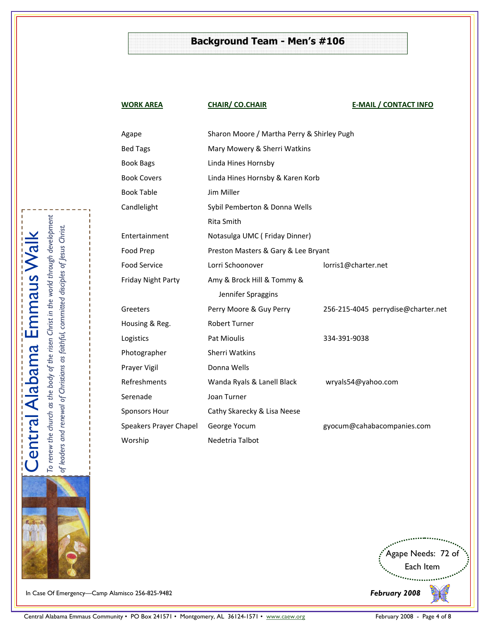## **Background Team - Men's #106**

**WORK AREA CHAIR/ CO.CHAIR <b>CHAIR E-MAIL / CONTACT INFO** 

| Agape                  | Sharon Moore / Martha Perry & Shirley Pugh |                                    |  |
|------------------------|--------------------------------------------|------------------------------------|--|
| <b>Bed Tags</b>        | Mary Mowery & Sherri Watkins               |                                    |  |
| Book Bags              | Linda Hines Hornsby                        |                                    |  |
| <b>Book Covers</b>     | Linda Hines Hornsby & Karen Korb           |                                    |  |
| <b>Book Table</b>      | Jim Miller                                 |                                    |  |
| Candlelight            | Sybil Pemberton & Donna Wells              |                                    |  |
|                        | <b>Rita Smith</b>                          |                                    |  |
| Entertainment          | Notasulga UMC (Friday Dinner)              |                                    |  |
| Food Prep              | Preston Masters & Gary & Lee Bryant        |                                    |  |
| <b>Food Service</b>    | Lorri Schoonover                           | lorris1@charter.net                |  |
| Friday Night Party     | Amy & Brock Hill & Tommy &                 |                                    |  |
|                        | Jennifer Spraggins                         |                                    |  |
| Greeters               | Perry Moore & Guy Perry                    | 256-215-4045 perrydise@charter.net |  |
| Housing & Reg.         | <b>Robert Turner</b>                       |                                    |  |
| Logistics              | Pat Mioulis                                | 334-391-9038                       |  |
| Photographer           | Sherri Watkins                             |                                    |  |
| Prayer Vigil           | Donna Wells                                |                                    |  |
| Refreshments           | Wanda Ryals & Lanell Black                 | wryals54@yahoo.com                 |  |
| Serenade               | Joan Turner                                |                                    |  |
| Sponsors Hour          | Cathy Skarecky & Lisa Neese                |                                    |  |
| Speakers Prayer Chapel | George Yocum                               | gyocum@cahabacompanies.com         |  |
| Worship                | Nedetria Talbot                            |                                    |  |
|                        |                                            |                                    |  |



In Case Of Emergency—Camp Alamisco 256-825-9482

 $\mathbf{I}$ 

 $\mathbf{I}$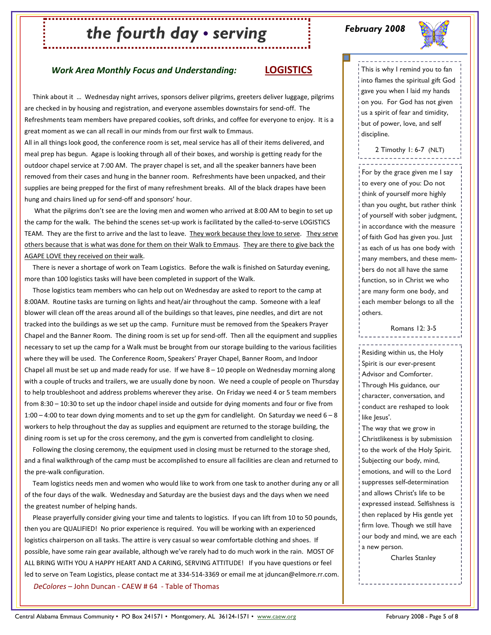# *the fourth day • serving*

### *February 2008*



### *Work Area Monthly Focus and Understanding:* **LOGISTICS**

 Think about it … Wednesday night arrives, sponsors deliver pilgrims, greeters deliver luggage, pilgrims are checked in by housing and registration, and everyone assembles downstairs for send-off. The Refreshments team members have prepared cookies, soft drinks, and coffee for everyone to enjoy. It is a great moment as we can all recall in our minds from our first walk to Emmaus.

All in all things look good, the conference room is set, meal service has all of their items delivered, and meal prep has begun. Agape is looking through all of their boxes, and worship is getting ready for the outdoor chapel service at 7:00 AM. The prayer chapel is set, and all the speaker banners have been removed from their cases and hung in the banner room. Refreshments have been unpacked, and their supplies are being prepped for the first of many refreshment breaks. All of the black drapes have been hung and chairs lined up for send-off and sponsors' hour.

 What the pilgrims don't see are the loving men and women who arrived at 8:00 AM to begin to set up the camp for the walk. The behind the scenes set-up work is facilitated by the called-to-serve LOGISTICS TEAM. They are the first to arrive and the last to leave. They work because they love to serve. They serve others because that is what was done for them on their Walk to Emmaus. They are there to give back the AGAPE LOVE they received on their walk.

 There is never a shortage of work on Team Logistics. Before the walk is finished on Saturday evening, more than 100 logistics tasks will have been completed in support of the Walk.

 Those logistics team members who can help out on Wednesday are asked to report to the camp at 8:00AM. Routine tasks are turning on lights and heat/air throughout the camp. Someone with a leaf blower will clean off the areas around all of the buildings so that leaves, pine needles, and dirt are not tracked into the buildings as we set up the camp. Furniture must be removed from the Speakers Prayer Chapel and the Banner Room. The dining room is set up for send-off. Then all the equipment and supplies necessary to set up the camp for a Walk must be brought from our storage building to the various facilities where they will be used. The Conference Room, Speakers' Prayer Chapel, Banner Room, and Indoor Chapel all must be set up and made ready for use. If we have 8 – 10 people on Wednesday morning along with a couple of trucks and trailers, we are usually done by noon. We need a couple of people on Thursday to help troubleshoot and address problems wherever they arise. On Friday we need 4 or 5 team members from 8:30 – 10:30 to set up the indoor chapel inside and outside for dying moments and four or five from 1:00 – 4:00 to tear down dying moments and to set up the gym for candlelight. On Saturday we need  $6 - 8$ workers to help throughout the day as supplies and equipment are returned to the storage building, the dining room is set up for the cross ceremony, and the gym is converted from candlelight to closing.

 Following the closing ceremony, the equipment used in closing must be returned to the storage shed, and a final walkthrough of the camp must be accomplished to ensure all facilities are clean and returned to the pre-walk configuration.

 Team logistics needs men and women who would like to work from one task to another during any or all of the four days of the walk. Wednesday and Saturday are the busiest days and the days when we need the greatest number of helping hands.

 Please prayerfully consider giving your time and talents to logistics. If you can lift from 10 to 50 pounds, then you are QUALIFIED! No prior experience is required. You will be working with an experienced logistics chairperson on all tasks. The attire is very casual so wear comfortable clothing and shoes. If possible, have some rain gear available, although we've rarely had to do much work in the rain. MOST OF ALL BRING WITH YOU A HAPPY HEART AND A CARING, SERVING ATTITUDE! If you have questions or feel led to serve on Team Logistics, please contact me at 334-514-3369 or email me at jduncan@elmore.rr.com. *DeColores* – John Duncan - CAEW # 64 - Table of Thomas

This is why I remind you to fan into flames the spiritual gift God gave you when I laid my hands on you. For God has not given us a spirit of fear and timidity, but of power, love, and self discipline.

2 Timothy 1: 6-7 (NLT)

For by the grace given me I say to every one of you: Do not think of yourself more highly than you ought, but rather think of yourself with sober judgment, in accordance with the measure of faith God has given you. Just as each of us has one body with many members, and these members do not all have the same function, so in Christ we who are many form one body, and each member belongs to all the others.

Romans 12: 3-5

Residing within us, the Holy Spirit is our ever-present Advisor and Comforter. Through His guidance, our character, conversation, and conduct are reshaped to look like Jesus'. The way that we grow in Christlikeness is by submission to the work of the Holy Spirit. Subjecting our body, mind, emotions, and will to the Lord suppresses self-determination and allows Christ's life to be expressed instead. Selfishness is then replaced by His gentle yet firm love. Though we still have our body and mind, we are each a new person.

Charles Stanley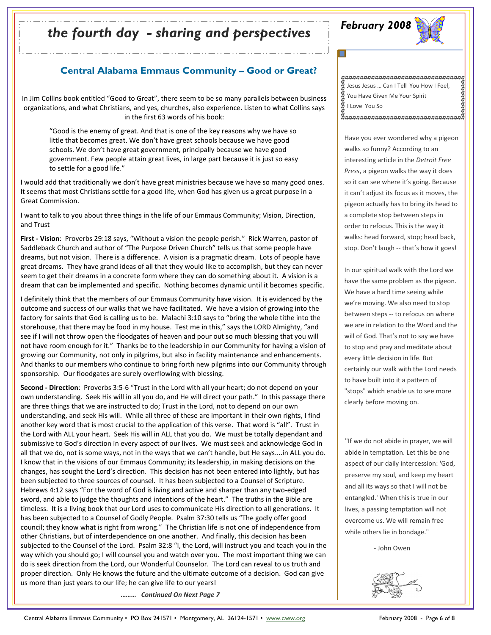# *February 2008 the fourth day - sharing and perspectives*



## **Central Alabama Emmaus Community – Good or Great?**

In Jim Collins book entitled "Good to Great", there seem to be so many parallels between business organizations, and what Christians, and yes, churches, also experience. Listen to what Collins says in the first 63 words of his book:

"Good is the enemy of great. And that is one of the key reasons why we have so little that becomes great. We don't have great schools because we have good schools. We don't have great government, principally because we have good government. Few people attain great lives, in large part because it is just so easy to settle for a good life."

I would add that traditionally we don't have great ministries because we have so many good ones. It seems that most Christians settle for a good life, when God has given us a great purpose in a Great Commission.

I want to talk to you about three things in the life of our Emmaus Community; Vision, Direction, and Trust

**First - Vision**: Proverbs 29:18 says, "Without a vision the people perish." Rick Warren, pastor of Saddleback Church and author of "The Purpose Driven Church" tells us that some people have dreams, but not vision. There is a difference. A vision is a pragmatic dream. Lots of people have great dreams. They have grand ideas of all that they would like to accomplish, but they can never seem to get their dreams in a concrete form where they can do something about it. A vision is a dream that can be implemented and specific. Nothing becomes dynamic until it becomes specific.

I definitely think that the members of our Emmaus Community have vision. It is evidenced by the outcome and success of our walks that we have facilitated. We have a vision of growing into the factory for saints that God is calling us to be. Malachi 3:10 says to "bring the whole tithe into the storehouse, that there may be food in my house. Test me in this," says the LORD Almighty, "and see if I will not throw open the floodgates of heaven and pour out so much blessing that you will not have room enough for it." Thanks be to the leadership in our Community for having a vision of growing our Community, not only in pilgrims, but also in facility maintenance and enhancements. And thanks to our members who continue to bring forth new pilgrims into our Community through sponsorship. Our floodgates are surely overflowing with blessing.

**Second - Direction**: Proverbs 3:5-6 "Trust in the Lord with all your heart; do not depend on your own understanding. Seek His will in all you do, and He will direct your path." In this passage there are three things that we are instructed to do; Trust in the Lord, not to depend on our own understanding, and seek His will. While all three of these are important in their own rights, I find another key word that is most crucial to the application of this verse. That word is "all". Trust in the Lord with ALL your heart. Seek His will in ALL that you do. We must be totally dependant and submissive to God's direction in every aspect of our lives. We must seek and acknowledge God in all that we do, not is some ways, not in the ways that we can't handle, but He says....in ALL you do. I know that in the visions of our Emmaus Community; its leadership, in making decisions on the changes, has sought the Lord's direction. This decision has not been entered into lightly, but has been subjected to three sources of counsel. It has been subjected to a Counsel of Scripture. Hebrews 4:12 says "For the word of God is living and active and sharper than any two-edged sword, and able to judge the thoughts and intentions of the heart." The truths in the Bible are timeless. It is a living book that our Lord uses to communicate His direction to all generations. It has been subjected to a Counsel of Godly People. Psalm 37:30 tells us "The godly offer good council; they know what is right from wrong." The Christian life is not one of independence from other Christians, but of interdependence on one another. And finally, this decision has been subjected to the Counsel of the Lord. Psalm 32:8 "I, the Lord, will instruct you and teach you in the way which you should go; I will counsel you and watch over you. The most important thing we can do is seek direction from the Lord, our Wonderful Counselor. The Lord can reveal to us truth and proper direction. Only He knows the future and the ultimate outcome of a decision. God can give us more than just years to our life; he can give life to our years!

*……… Continued On Next Page 7* 

ห้างขางขางขางขางขางขางขางขางขางขางขางขาง I Love You So Jesus Jesus … Can I Tell You How I Feel, פפיקים ביקר בין You Have Given Me Your Spirit

Have you ever wondered why a pigeon walks so funny? According to an interesting article in the *Detroit Free Press*, a pigeon walks the way it does so it can see where it's going. Because it can't adjust its focus as it moves, the pigeon actually has to bring its head to a complete stop between steps in order to refocus. This is the way it walks: head forward, stop; head back, stop. Don't laugh -- that's how it goes!

In our spiritual walk with the Lord we have the same problem as the pigeon. We have a hard time seeing while we're moving. We also need to stop between steps -- to refocus on where we are in relation to the Word and the will of God. That's not to say we have to stop and pray and meditate about every little decision in life. But certainly our walk with the Lord needs to have built into it a pattern of "stops" which enable us to see more clearly before moving on.

"If we do not abide in prayer, we will abide in temptation. Let this be one aspect of our daily intercession: 'God, preserve my soul, and keep my heart and all its ways so that I will not be entangled.' When this is true in our lives, a passing temptation will not overcome us. We will remain free while others lie in bondage."

- John Owen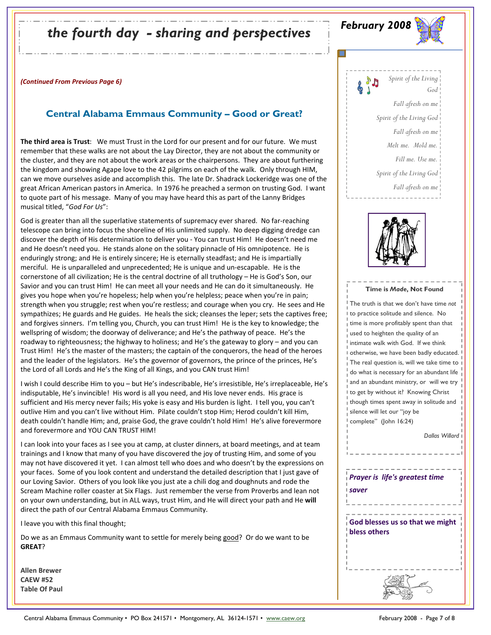# *February 2008 the fourth day - sharing and perspectives*

*(Continued From Previous Page 6)*

### **Central Alabama Emmaus Community – Good or Great?**

**The third area is Trust**: We must Trust in the Lord for our present and for our future. We must remember that these walks are not about the Lay Director, they are not about the community or the cluster, and they are not about the work areas or the chairpersons. They are about furthering the kingdom and showing Agape love to the 42 pilgrims on each of the walk. Only through HIM, can we move ourselves aside and accomplish this. The late Dr. Shadrack Lockeridge was one of the great African American pastors in America. In 1976 he preached a sermon on trusting God. I want to quote part of his message. Many of you may have heard this as part of the Lanny Bridges musical titled, "*God For Us*":

God is greater than all the superlative statements of supremacy ever shared. No far-reaching telescope can bring into focus the shoreline of His unlimited supply. No deep digging dredge can discover the depth of His determination to deliver you - You can trust Him! He doesn't need me and He doesn't need you. He stands alone on the solitary pinnacle of His omnipotence. He is enduringly strong; and He is entirely sincere; He is eternally steadfast; and He is impartially merciful. He is unparalleled and unprecedented; He is unique and un-escapable. He is the cornerstone of all civilization; He is the central doctrine of all truthology – He is God's Son, our Savior and you can trust Him! He can meet all your needs and He can do it simultaneously. He gives you hope when you're hopeless; help when you're helpless; peace when you're in pain; strength when you struggle; rest when you're restless; and courage when you cry. He sees and He sympathizes; He guards and He guides. He heals the sick; cleanses the leper; sets the captives free; and forgives sinners. I'm telling you, Church, you can trust Him! He is the key to knowledge; the wellspring of wisdom; the doorway of deliverance; and He's the pathway of peace. He's the roadway to righteousness; the highway to holiness; and He's the gateway to glory – and you can Trust Him! He's the master of the masters; the captain of the conquerors, the head of the heroes and the leader of the legislators. He's the governor of governors, the prince of the princes, He's the Lord of all Lords and He's the King of all Kings, and you CAN trust Him!

I wish I could describe Him to you – but He's indescribable, He's irresistible, He's irreplaceable, He's indisputable, He's invincible! His word is all you need, and His love never ends. His grace is sufficient and His mercy never fails; His yoke is easy and His burden is light. I tell you, you can't outlive Him and you can't live without Him. Pilate couldn't stop Him; Herod couldn't kill Him, death couldn't handle Him; and, praise God, the grave couldn't hold Him! He's alive forevermore and forevermore and YOU CAN TRUST HIM!

I can look into your faces as I see you at camp, at cluster dinners, at board meetings, and at team trainings and I know that many of you have discovered the joy of trusting Him, and some of you may not have discovered it yet. I can almost tell who does and who doesn't by the expressions on your faces. Some of you look content and understand the detailed description that I just gave of our Loving Savior. Others of you look like you just ate a chili dog and doughnuts and rode the Scream Machine roller coaster at Six Flags. Just remember the verse from Proverbs and lean not on your own understanding, but in ALL ways, trust Him, and He will direct your path and He **will** direct the path of our Central Alabama Emmaus Community.

I leave you with this final thought;

Do we as an Emmaus Community want to settle for merely being good? Or do we want to be **GREAT**?

**Allen Brewer CAEW #52 Table Of Paul**